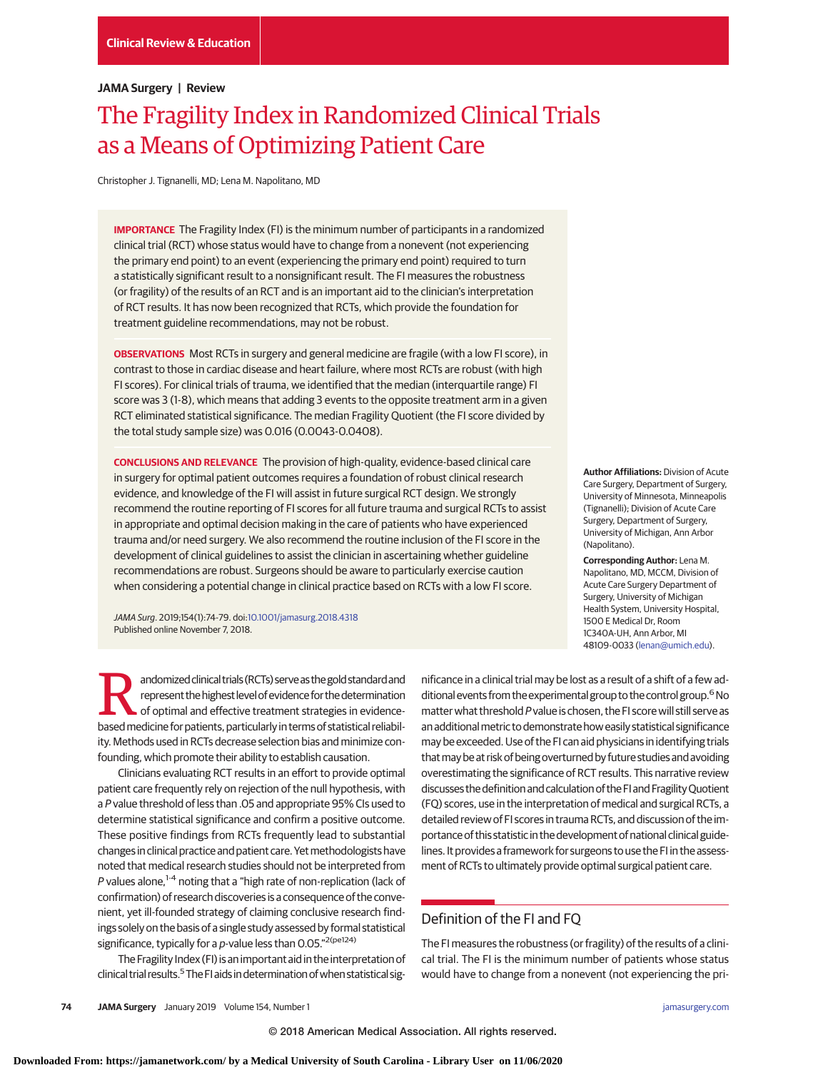## **JAMA Surgery | Review**

# The Fragility Index in Randomized Clinical Trials as a Means of Optimizing Patient Care

Christopher J. Tignanelli, MD; Lena M. Napolitano, MD

**IMPORTANCE** The Fragility Index (FI) is the minimum number of participants in a randomized clinical trial (RCT) whose status would have to change from a nonevent (not experiencing the primary end point) to an event (experiencing the primary end point) required to turn a statistically significant result to a nonsignificant result. The FI measures the robustness (or fragility) of the results of an RCT and is an important aid to the clinician's interpretation of RCT results. It has now been recognized that RCTs, which provide the foundation for treatment guideline recommendations, may not be robust.

**OBSERVATIONS** Most RCTs in surgery and general medicine are fragile (with a low FI score), in contrast to those in cardiac disease and heart failure, where most RCTs are robust (with high FI scores). For clinical trials of trauma, we identified that the median (interquartile range) FI score was 3 (1-8), which means that adding 3 events to the opposite treatment arm in a given RCT eliminated statistical significance. The median Fragility Quotient (the FI score divided by the total study sample size) was 0.016 (0.0043-0.0408).

**CONCLUSIONS AND RELEVANCE** The provision of high-quality, evidence-based clinical care in surgery for optimal patient outcomes requires a foundation of robust clinical research evidence, and knowledge of the FI will assist in future surgical RCT design. We strongly recommend the routine reporting of FI scores for all future trauma and surgical RCTs to assist in appropriate and optimal decision making in the care of patients who have experienced trauma and/or need surgery. We also recommend the routine inclusion of the FI score in the development of clinical guidelines to assist the clinician in ascertaining whether guideline recommendations are robust. Surgeons should be aware to particularly exercise caution when considering a potential change in clinical practice based on RCTs with a low FI score.

JAMA Surg. 2019;154(1):74-79. doi[:10.1001/jamasurg.2018.4318](https://jama.jamanetwork.com/article.aspx?doi=10.1001/jamasurg.2018.4318&utm_campaign=articlePDF%26utm_medium=articlePDFlink%26utm_source=articlePDF%26utm_content=jamasurg.2018.4318) Published online November 7, 2018.

andomized clinical trials (RCTs) serve as the gold standard and<br>
of optimal and effective treatment strategies in evidence-<br>
based medicine for patients, particularly in terms of statistical reliability<br>
of the distributio represent the highest level of evidence for the determination basedmedicine for patients, particularly in terms of statistical reliability. Methods used in RCTs decrease selection bias and minimize confounding, which promote their ability to establish causation.

Clinicians evaluating RCT results in an effort to provide optimal patient care frequently rely on rejection of the null hypothesis, with a P value threshold of less than .05 and appropriate 95% CIs used to determine statistical significance and confirm a positive outcome. These positive findings from RCTs frequently lead to substantial changes in clinical practice and patient care. Yetmethodologists have noted that medical research studies should not be interpreted from P values alone, $1-4$  noting that a "high rate of non-replication (lack of confirmation) of research discoveries is a consequence of the convenient, yet ill-founded strategy of claiming conclusive research findings solely on the basis of a single study assessed by formal statistical significance, typically for a p-value less than  $0.05$ ."<sup>2(pe124)</sup>

The Fragility Index (FI) is an important aid in the interpretation of clinical trial results.<sup>5</sup> The FI aids in determination of when statistical sig-

**Author Affiliations:** Division of Acute Care Surgery, Department of Surgery, University of Minnesota, Minneapolis (Tignanelli); Division of Acute Care Surgery, Department of Surgery, University of Michigan, Ann Arbor (Napolitano).

**Corresponding Author:** Lena M. Napolitano, MD, MCCM, Division of Acute Care Surgery Department of Surgery, University of Michigan Health System, University Hospital, 1500 E Medical Dr, Room 1C340A-UH, Ann Arbor, MI 48109-0033 [\(lenan@umich.edu\)](mailto:lenan@umich.edu).

nificance in a clinical trial may be lost as a result of a shift of a few additional events from the experimental group to the control group.<sup>6</sup> No matter what threshold P value is chosen, the FI score will still serve as an additional metric to demonstrate how easily statistical significance may be exceeded. Use of the FI can aid physicians in identifying trials that may be at risk of being overturned by future studies and avoiding overestimating the significance of RCT results. This narrative review discusses the definitionand calculation of the FIand FragilityQuotient (FQ) scores, use in the interpretation of medical and surgical RCTs, a detailed review of FI scores in trauma RCTs, and discussion of the importance of this statistic in the development of national clinical guidelines. It provides a framework for surgeons to use the FI in the assessment of RCTs to ultimately provide optimal surgical patient care.

# Definition of the FI and FQ

The FI measures the robustness (or fragility) of the results of a clinical trial. The FI is the minimum number of patients whose status would have to change from a nonevent (not experiencing the pri-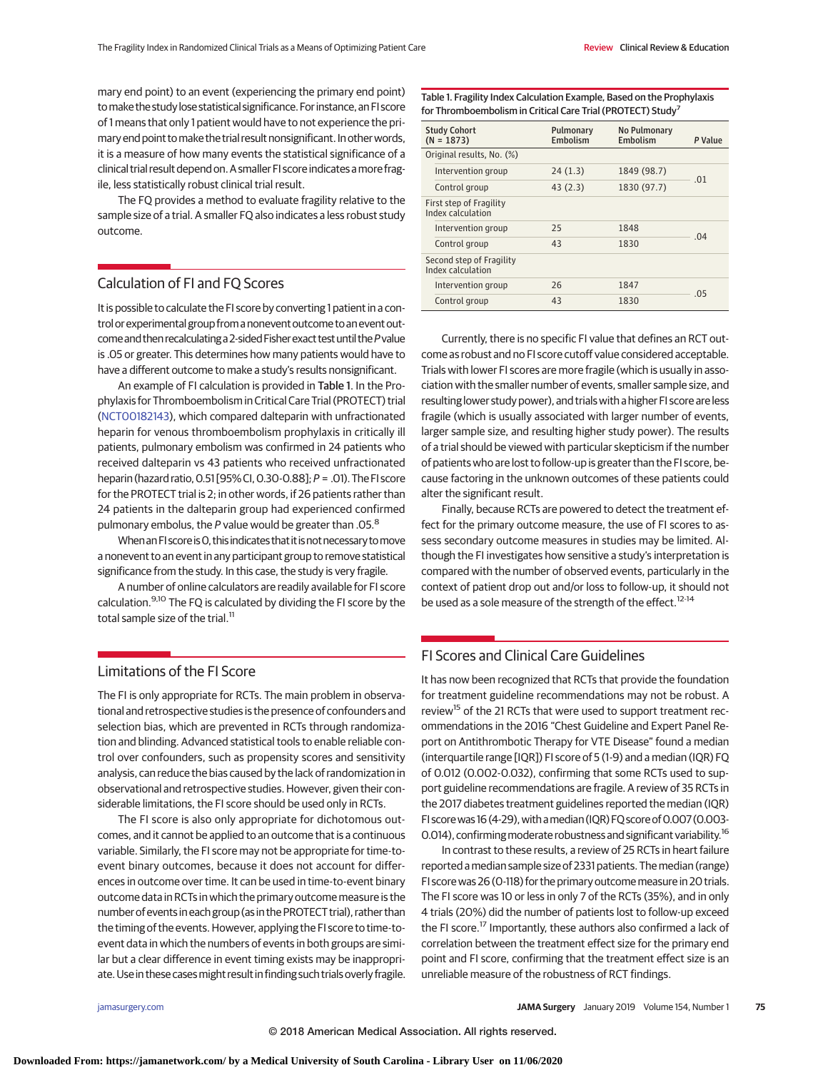mary end point) to an event (experiencing the primary end point) to make the study lose statistical significance. For instance, an FI score of 1 means that only 1 patient would have to not experience the primary end point to make the trial result nonsignificant. In other words, it is a measure of how many events the statistical significance of a clinical trial result depend on. A smaller FI score indicates amore fragile, less statistically robust clinical trial result.

The FQ provides a method to evaluate fragility relative to the sample size of a trial. A smaller FQ also indicates a less robust study outcome.

# Calculation of FI and FQ Scores

It is possible to calculate the FI score by converting 1 patient in a control orexperimental group from a nonevent outcome to anevent outcome and then recalculating a 2-sided Fisher exact test until the P value is .05 or greater. This determines how many patients would have to have a different outcome to make a study's results nonsignificant.

An example of FI calculation is provided in Table 1. In the Prophylaxis for Thromboembolism in Critical Care Trial (PROTECT) trial [\(NCT00182143\)](https://clinicaltrials.gov/ct2/show/NCT00182143), which compared dalteparin with unfractionated heparin for venous thromboembolism prophylaxis in critically ill patients, pulmonary embolism was confirmed in 24 patients who received dalteparin vs 43 patients who received unfractionated heparin (hazard ratio,0.51 [95% CI,0.30-0.88];P = .01). The FI score for the PROTECT trial is 2; in other words, if 26 patients rather than 24 patients in the dalteparin group had experienced confirmed pulmonary embolus, the  $P$  value would be greater than .05. $8$ 

When an FI score is O, this indicates that it is not necessary to move a nonevent to an event in any participant group to remove statistical significance from the study. In this case, the study is very fragile.

A number of online calculators are readily available for FI score calculation.<sup>9,10</sup> The FQ is calculated by dividing the FI score by the total sample size of the trial.<sup>11</sup>

# Limitations of the FI Score

The FI is only appropriate for RCTs. The main problem in observational and retrospective studies is the presence of confounders and selection bias, which are prevented in RCTs through randomization and blinding. Advanced statistical tools to enable reliable control over confounders, such as propensity scores and sensitivity analysis, can reduce the bias caused by the lack of randomization in observational and retrospective studies. However, given their considerable limitations, the FI score should be used only in RCTs.

The FI score is also only appropriate for dichotomous outcomes, and it cannot be applied to an outcome that is a continuous variable. Similarly, the FI score may not be appropriate for time-toevent binary outcomes, because it does not account for differences in outcome over time. It can be used in time-to-event binary outcome data in RCTs in which the primary outcome measure is the number of events in each group (as in the PROTECT trial), rather than the timing of the events. However, applying the FI score to time-toevent data in which the numbers of events in both groups are similar but a clear difference in event timing exists may be inappropriate. Use in these cases might result in finding such trials overly fragile.

Table 1. Fragility Index Calculation Example, Based on the Prophylaxis for Thromboembolism in Critical Care Trial (PROTECT) Study<sup>7</sup>

| <b>Study Cohort</b><br>$(N = 1873)$           |                    | Pulmonary<br>Embolism | No Pulmonary<br>Embolism | P Value |  |
|-----------------------------------------------|--------------------|-----------------------|--------------------------|---------|--|
| Original results, No. (%)                     |                    |                       |                          |         |  |
|                                               | Intervention group | 24(1.3)               | 1849 (98.7)              | .01     |  |
|                                               | Control group      | 43(2.3)               | 1830 (97.7)              |         |  |
| First step of Fragility<br>Index calculation  |                    |                       |                          |         |  |
|                                               | Intervention group | 25                    | 1848                     | 04      |  |
|                                               | Control group      | 43                    | 1830                     |         |  |
| Second step of Fragility<br>Index calculation |                    |                       |                          |         |  |
|                                               | Intervention group | 26                    | 1847                     | .05     |  |
|                                               | Control group      | 43                    | 1830                     |         |  |

Currently, there is no specific FI value that defines an RCT outcome as robust and no FI score cutoff value considered acceptable. Trials with lower FI scores are more fragile (which is usually in association with the smaller number of events, smaller sample size, and resulting lower study power), and trials with a higher FI score are less fragile (which is usually associated with larger number of events, larger sample size, and resulting higher study power). The results of a trial should be viewed with particular skepticism if the number of patients who are lost to follow-up is greater than the FI score, because factoring in the unknown outcomes of these patients could alter the significant result.

Finally, because RCTs are powered to detect the treatment effect for the primary outcome measure, the use of FI scores to assess secondary outcome measures in studies may be limited. Although the FI investigates how sensitive a study's interpretation is compared with the number of observed events, particularly in the context of patient drop out and/or loss to follow-up, it should not be used as a sole measure of the strength of the effect.<sup>12-14</sup>

# FI Scores and Clinical Care Guidelines

It has now been recognized that RCTs that provide the foundation for treatment guideline recommendations may not be robust. A review<sup>15</sup> of the 21 RCTs that were used to support treatment recommendations in the 2016 "Chest Guideline and Expert Panel Report on Antithrombotic Therapy for VTE Disease" found a median (interquartile range [IQR]) FI score of 5 (1-9) and a median (IQR) FQ of 0.012 (0.002-0.032), confirming that some RCTs used to support guideline recommendations are fragile. A review of 35 RCTs in the 2017 diabetes treatment guidelines reported the median (IQR) FI score was 16 (4-29), with a median (IQR) FQ score of 0.007 (0.003-0.014), confirming moderate robustness and significant variability.<sup>16</sup>

In contrast to these results, a review of 25 RCTs in heart failure reported a median sample size of 2331 patients. The median (range) FI score was 26 (0-118) for the primary outcomemeasure in 20 trials. The FI score was 10 or less in only 7 of the RCTs (35%), and in only 4 trials (20%) did the number of patients lost to follow-up exceed the FI score.<sup>17</sup> Importantly, these authors also confirmed a lack of correlation between the treatment effect size for the primary end point and FI score, confirming that the treatment effect size is an unreliable measure of the robustness of RCT findings.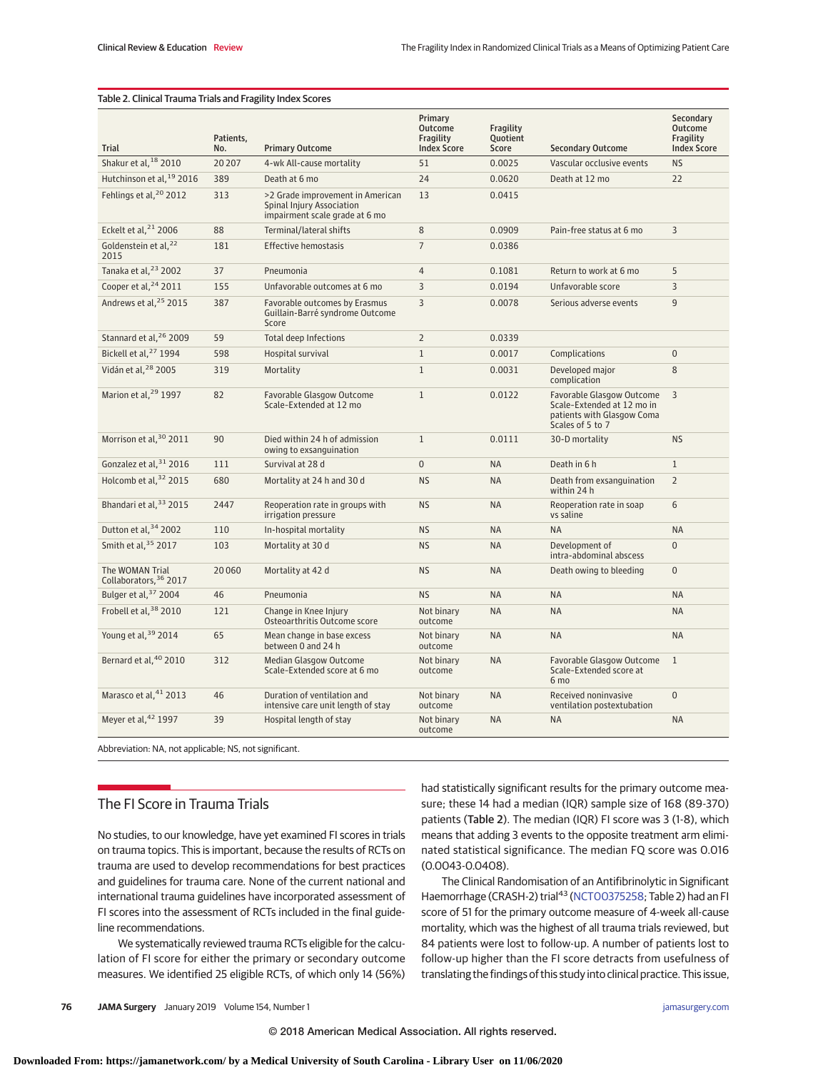| lable 2. Cililical Traditia Trials and Fragmy muck Scores |                  |                                                                                                 |                                                              |                                |                                                                                                           |                                                         |  |  |  |
|-----------------------------------------------------------|------------------|-------------------------------------------------------------------------------------------------|--------------------------------------------------------------|--------------------------------|-----------------------------------------------------------------------------------------------------------|---------------------------------------------------------|--|--|--|
| <b>Trial</b>                                              | Patients,<br>No. | <b>Primary Outcome</b>                                                                          | Primary<br><b>Outcome</b><br>Fragility<br><b>Index Score</b> | Fragility<br>Quotient<br>Score | <b>Secondary Outcome</b>                                                                                  | Secondary<br>Outcome<br>Fragility<br><b>Index Score</b> |  |  |  |
| Shakur et al, 18 2010                                     | 20207            | 4-wk All-cause mortality                                                                        | 51                                                           | 0.0025                         | Vascular occlusive events                                                                                 | <b>NS</b>                                               |  |  |  |
| Hutchinson et al, <sup>19</sup> 2016                      | 389              | Death at 6 mo                                                                                   | 24                                                           | 0.0620                         | Death at 12 mo                                                                                            | 22                                                      |  |  |  |
| Fehlings et al, <sup>20</sup> 2012                        | 313              | >2 Grade improvement in American<br>Spinal Injury Association<br>impairment scale grade at 6 mo | 13                                                           | 0.0415                         |                                                                                                           |                                                         |  |  |  |
| Eckelt et al, <sup>21</sup> 2006                          | 88               | Terminal/lateral shifts                                                                         | 8                                                            | 0.0909                         | Pain-free status at 6 mo                                                                                  | 3                                                       |  |  |  |
| Goldenstein et al, <sup>22</sup><br>2015                  | 181              | <b>Effective hemostasis</b>                                                                     | $\overline{7}$                                               | 0.0386                         |                                                                                                           |                                                         |  |  |  |
| Tanaka et al, <sup>23</sup> 2002                          | 37               | Pneumonia                                                                                       | $\overline{4}$                                               | 0.1081                         | Return to work at 6 mo                                                                                    | 5                                                       |  |  |  |
| Cooper et al, <sup>24</sup> 2011                          | 155              | Unfavorable outcomes at 6 mo                                                                    | 3                                                            | 0.0194                         | Unfavorable score                                                                                         | 3                                                       |  |  |  |
| Andrews et al, <sup>25</sup> 2015                         | 387              | Favorable outcomes by Erasmus<br>Guillain-Barré syndrome Outcome<br>Score                       | 3                                                            | 0.0078                         | Serious adverse events                                                                                    | 9                                                       |  |  |  |
| Stannard et al, 26 2009                                   | 59               | <b>Total deep Infections</b>                                                                    | $\overline{2}$                                               | 0.0339                         |                                                                                                           |                                                         |  |  |  |
| Bickell et al, <sup>27</sup> 1994                         | 598              | Hospital survival                                                                               | $1\,$                                                        | 0.0017                         | Complications                                                                                             | $\boldsymbol{0}$                                        |  |  |  |
| Vidán et al, 28 2005                                      | 319              | Mortality                                                                                       | $\mathbf{1}$                                                 | 0.0031                         | Developed major<br>complication                                                                           | 8                                                       |  |  |  |
| Marion et al, <sup>29</sup> 1997                          | 82               | Favorable Glasgow Outcome<br>Scale-Extended at 12 mo                                            | $\mathbf{1}$                                                 | 0.0122                         | Favorable Glasgow Outcome<br>Scale-Extended at 12 mo in<br>patients with Glasgow Coma<br>Scales of 5 to 7 | 3                                                       |  |  |  |
| Morrison et al, 30 2011                                   | 90               | Died within 24 h of admission<br>owing to exsanguination                                        | $\mathbf{1}$                                                 | 0.0111                         | 30-D mortality                                                                                            | <b>NS</b>                                               |  |  |  |
| Gonzalez et al, 31 2016                                   | 111              | Survival at 28 d                                                                                | 0                                                            | <b>NA</b>                      | Death in 6 h                                                                                              | $\mathbf{1}$                                            |  |  |  |
| Holcomb et al, 32 2015                                    | 680              | Mortality at 24 h and 30 d                                                                      | <b>NS</b>                                                    | <b>NA</b>                      | Death from exsanguination<br>within 24 h                                                                  | $\overline{2}$                                          |  |  |  |
| Bhandari et al, 33 2015                                   | 2447             | Reoperation rate in groups with<br>irrigation pressure                                          | <b>NS</b>                                                    | <b>NA</b>                      | Reoperation rate in soap<br>vs saline                                                                     | 6                                                       |  |  |  |
| Dutton et al, 34 2002                                     | 110              | In-hospital mortality                                                                           | <b>NS</b>                                                    | <b>NA</b>                      | <b>NA</b>                                                                                                 | <b>NA</b>                                               |  |  |  |
| Smith et al, 35 2017                                      | 103              | Mortality at 30 d                                                                               | <b>NS</b>                                                    | <b>NA</b>                      | Development of<br>intra-abdominal abscess                                                                 | $\overline{0}$                                          |  |  |  |
| The WOMAN Trial<br>Collaborators, 36 2017                 | 20060            | Mortality at 42 d                                                                               | <b>NS</b>                                                    | <b>NA</b>                      | Death owing to bleeding                                                                                   | $\mathbf 0$                                             |  |  |  |
| Bulger et al, 37 2004                                     | 46               | Pneumonia                                                                                       | <b>NS</b>                                                    | <b>NA</b>                      | <b>NA</b>                                                                                                 | <b>NA</b>                                               |  |  |  |
| Frobell et al, 38 2010                                    | 121              | Change in Knee Injury<br>Osteoarthritis Outcome score                                           | Not binary<br>outcome                                        | <b>NA</b>                      | <b>NA</b>                                                                                                 | <b>NA</b>                                               |  |  |  |
| Young et al, 39 2014                                      | 65               | Mean change in base excess<br>between 0 and 24 h                                                | Not binary<br>outcome                                        | <b>NA</b>                      | <b>NA</b>                                                                                                 | <b>NA</b>                                               |  |  |  |
| Bernard et al, 40 2010                                    | 312              | Median Glasgow Outcome<br>Scale-Extended score at 6 mo                                          | Not binary<br>outcome                                        | <b>NA</b>                      | Favorable Glasgow Outcome<br>Scale-Extended score at<br>6 mo                                              | $\mathbf{1}$                                            |  |  |  |
| Marasco et al, 41 2013                                    | 46               | Duration of ventilation and<br>intensive care unit length of stay                               | Not binary<br>outcome                                        | <b>NA</b>                      | Received noninvasive<br>ventilation postextubation                                                        | $\overline{0}$                                          |  |  |  |
| Meyer et al, 42 1997                                      | 39               | Hospital length of stay                                                                         | Not binary<br>outcome                                        | <b>NA</b>                      | <b>NA</b>                                                                                                 | <b>NA</b>                                               |  |  |  |
| Abbreviation: NA, not applicable: NS, not significant,    |                  |                                                                                                 |                                                              |                                |                                                                                                           |                                                         |  |  |  |

# Table 2. Clinical Trauma Trials and Fragility Index Scores

# The FI Score in Trauma Trials

No studies, to our knowledge, have yet examined FI scores in trials on trauma topics. This is important, because the results of RCTs on trauma are used to develop recommendations for best practices and guidelines for trauma care. None of the current national and international trauma guidelines have incorporated assessment of FI scores into the assessment of RCTs included in the final guideline recommendations.

We systematically reviewed trauma RCTs eligible for the calculation of FI score for either the primary or secondary outcome measures. We identified 25 eligible RCTs, of which only 14 (56%) had statistically significant results for the primary outcome measure; these 14 had a median (IQR) sample size of 168 (89-370) patients (Table 2). The median (IQR) FI score was 3 (1-8), which means that adding 3 events to the opposite treatment arm eliminated statistical significance. The median FQ score was 0.016 (0.0043-0.0408).

The Clinical Randomisation of an Antifibrinolytic in Significant Haemorrhage (CRASH-2) trial<sup>43</sup> [\(NCT00375258;](https://clinicaltrials.gov/ct2/show/NCT00375258) Table 2) had an FI score of 51 for the primary outcome measure of 4-week all-cause mortality, which was the highest of all trauma trials reviewed, but 84 patients were lost to follow-up. A number of patients lost to follow-up higher than the FI score detracts from usefulness of translating the findings of this study into clinical practice. This issue,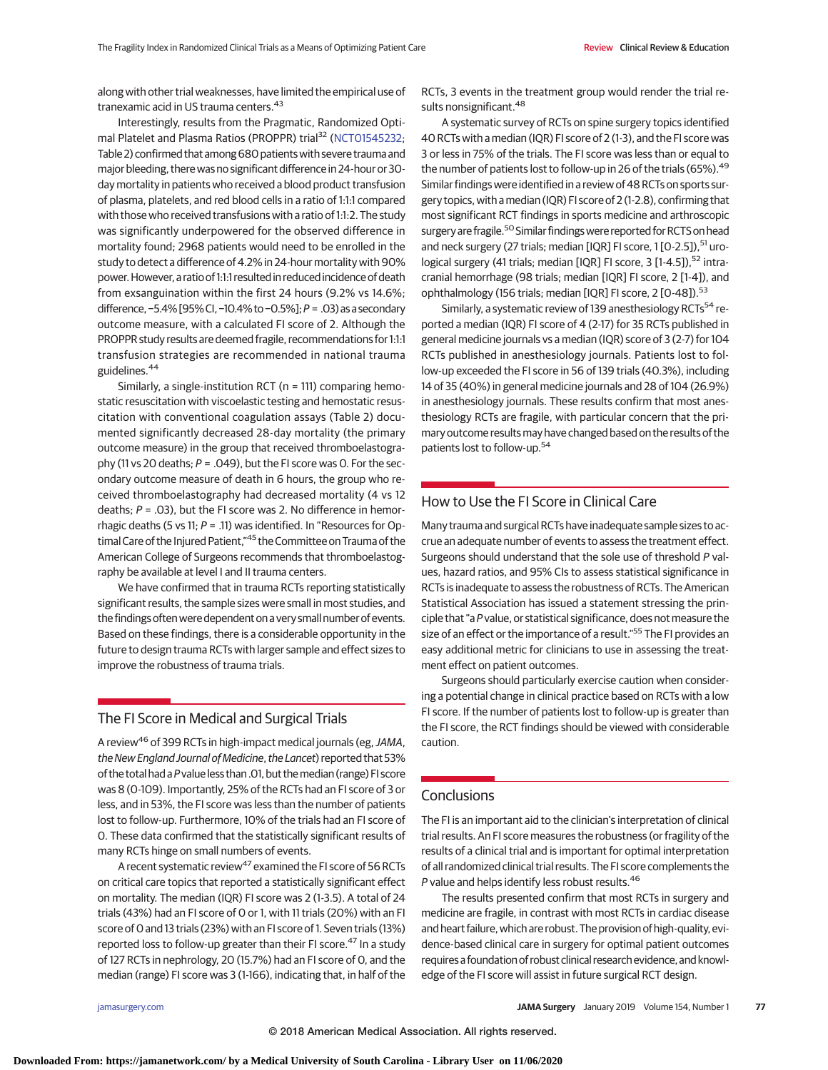along with other trial weaknesses, have limited the empirical use of tranexamic acid in US trauma centers.<sup>43</sup>

Interestingly, results from the Pragmatic, Randomized Opti-mal Platelet and Plasma Ratios (PROPPR) trial<sup>32</sup> [\(NCT01545232;](https://clinicaltrials.gov/ct2/show/NCT01545232) Table 2) confirmed that among 680 patients with severe trauma and major bleeding, there was no significant difference in 24-hour or 30 day mortality in patients who received a blood product transfusion of plasma, platelets, and red blood cells in a ratio of 1:1:1 compared with those who received transfusions with a ratio of 1:1:2. The study was significantly underpowered for the observed difference in mortality found; 2968 patients would need to be enrolled in the study to detect a difference of 4.2% in 24-hour mortality with 90% power.However, a ratio of 1:1:1 resulted in reduced incidence of death from exsanguination within the first 24 hours (9.2% vs 14.6%; difference, −5.4% [95%CI, −10.4% to −0.5%];P = .03)asa secondary outcome measure, with a calculated FI score of 2. Although the PROPPR study results are deemed fragile, recommendations for 1:1:1 transfusion strategies are recommended in national trauma guidelines.<sup>44</sup>

Similarly, a single-institution RCT (n = 111) comparing hemostatic resuscitation with viscoelastic testing and hemostatic resuscitation with conventional coagulation assays (Table 2) documented significantly decreased 28-day mortality (the primary outcome measure) in the group that received thromboelastography (11 vs 20 deaths;  $P = .049$ ), but the FI score was 0. For the secondary outcome measure of death in 6 hours, the group who received thromboelastography had decreased mortality (4 vs 12 deaths;  $P = .03$ ), but the FI score was 2. No difference in hemorrhagic deaths (5 vs 11;  $P = .11$ ) was identified. In "Resources for Optimal Care of the Injured Patient,"45 the Committee on Trauma of the American College of Surgeons recommends that thromboelastography be available at level I and II trauma centers.

We have confirmed that in trauma RCTs reporting statistically significant results, the sample sizes were small in most studies, and the findings often were dependent on a very small number of events. Based on these findings, there is a considerable opportunity in the future to design trauma RCTs with larger sample and effect sizes to improve the robustness of trauma trials.

# The FI Score in Medical and Surgical Trials

A review<sup>46</sup> of 399 RCTs in high-impact medical journals (eg, JAMA, the New England Journal of Medicine, the Lancet) reported that 53% of the total had aPvalue less than.01, but themedian (range) FI score was 8 (0-109). Importantly, 25% of the RCTs had an FI score of 3 or less, and in 53%, the FI score was less than the number of patients lost to follow-up. Furthermore, 10% of the trials had an FI score of 0. These data confirmed that the statistically significant results of many RCTs hinge on small numbers of events.

A recent systematic review<sup>47</sup> examined the FI score of 56 RCTs on critical care topics that reported a statistically significant effect on mortality. The median (IQR) FI score was 2 (1-3.5). A total of 24 trials (43%) had an FI score of 0 or 1, with 11 trials (20%) with an FI score of 0 and 13 trials (23%) with an FI score of 1. Seven trials (13%) reported loss to follow-up greater than their FI score.<sup>47</sup> In a study of 127 RCTs in nephrology, 20 (15.7%) had an FI score of 0, and the median (range) FI score was 3 (1-166), indicating that, in half of the

RCTs, 3 events in the treatment group would render the trial results nonsignificant.<sup>48</sup>

A systematic survey of RCTs on spine surgery topics identified 40 RCTs with a median (IQR) FI score of 2 (1-3), and the FI score was 3 or less in 75% of the trials. The FI score was less than or equal to the number of patients lost to follow-up in 26 of the trials (65%).<sup>49</sup> Similar findings were identified in a review of 48 RCTs on sports surgery topics, with amedian (IQR) FI score of 2 (1-2.8), confirming that most significant RCT findings in sports medicine and arthroscopic surgery are fragile.<sup>50</sup> Similar findings were reported for RCTS on head and neck surgery (27 trials; median [IQR] FI score, 1 [0-2.5]), <sup>51</sup> urological surgery (41 trials; median [IQR] FI score, 3 [1-4.5]), <sup>52</sup> intracranial hemorrhage (98 trials; median [IQR] FI score, 2 [1-4]), and ophthalmology (156 trials; median [IQR] FI score, 2 [O-48]).<sup>53</sup>

Similarly, a systematic review of 139 anesthesiology RCTs<sup>54</sup> reported a median (IQR) FI score of 4 (2-17) for 35 RCTs published in general medicine journals vs a median (IQR) score of 3 (2-7) for 104 RCTs published in anesthesiology journals. Patients lost to follow-up exceeded the FI score in 56 of 139 trials (40.3%), including 14 of 35 (40%) in general medicine journals and 28 of 104 (26.9%) in anesthesiology journals. These results confirm that most anesthesiology RCTs are fragile, with particular concern that the primary outcome results may have changed based on the results of the patients lost to follow-up.<sup>54</sup>

# How to Use the FI Score in Clinical Care

Many trauma and surgical RCTs have inadequate sample sizes to accrue an adequate number of events to assess the treatment effect. Surgeons should understand that the sole use of threshold P values, hazard ratios, and 95% CIs to assess statistical significance in RCTs is inadequate to assess the robustness of RCTs. The American Statistical Association has issued a statement stressing the principle that "a P value, or statistical significance, does not measure the size of an effect or the importance of a result."<sup>55</sup> The FI provides an easy additional metric for clinicians to use in assessing the treatment effect on patient outcomes.

Surgeons should particularly exercise caution when considering a potential change in clinical practice based on RCTs with a low FI score. If the number of patients lost to follow-up is greater than the FI score, the RCT findings should be viewed with considerable caution.

### **Conclusions**

The FI is an important aid to the clinician's interpretation of clinical trial results. An FI score measures the robustness (or fragility of the results of a clinical trial and is important for optimal interpretation of all randomized clinical trial results. The FI score complements the P value and helps identify less robust results.<sup>46</sup>

The results presented confirm that most RCTs in surgery and medicine are fragile, in contrast with most RCTs in cardiac disease and heart failure, which are robust. The provision of high-quality, evidence-based clinical care in surgery for optimal patient outcomes requires a foundation of robust clinical research evidence, and knowledge of the FI score will assist in future surgical RCT design.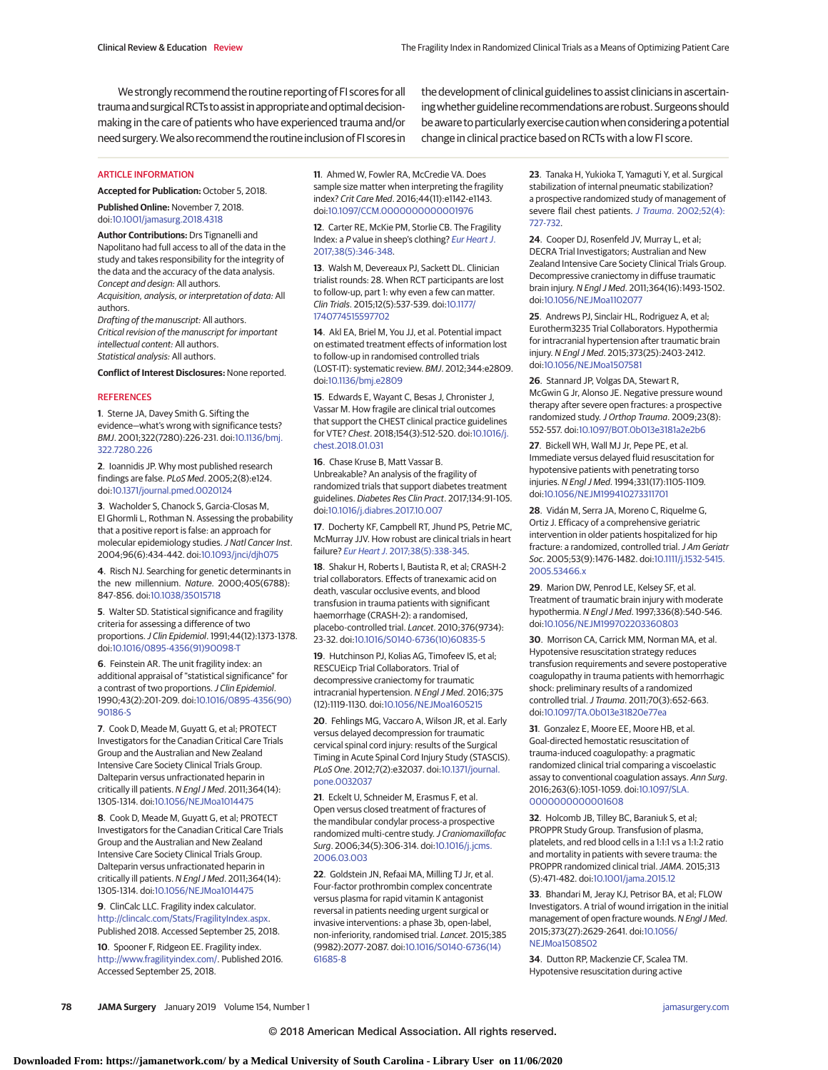We strongly recommend the routine reporting of FI scores for all trauma and surgical RCTs to assist in appropriate and optimal decisionmaking in the care of patients who have experienced trauma and/or need surgery.Wealso recommend the routine inclusion of FI scores in the development of clinical guidelines to assist clinicians in ascertainingwhether guideline recommendationsare robust.Surgeons should be aware to particularly exercise caution when considering a potential change in clinical practice based on RCTs with a low FI score.

#### ARTICLE INFORMATION

**Accepted for Publication:** October 5, 2018.

**Published Online:** November 7, 2018. doi[:10.1001/jamasurg.2018.4318](https://jama.jamanetwork.com/article.aspx?doi=10.1001/jamasurg.2018.4318&utm_campaign=articlePDF%26utm_medium=articlePDFlink%26utm_source=articlePDF%26utm_content=jamasurg.2018.4318)

**Author Contributions:** Drs Tignanelli and Napolitano had full access to all of the data in the study and takes responsibility for the integrity of the data and the accuracy of the data analysis. Concept and design: All authors. Acquisition, analysis, or interpretation of data: All authors.

Drafting of the manuscript: All authors. Critical revision of the manuscript for important intellectual content: All authors. Statistical analysis: All authors.

**Conflict of Interest Disclosures:** None reported.

#### **REFERENCES**

**1**. Sterne JA, Davey Smith G. Sifting the evidence—what's wrong with significance tests? BMJ. 2001;322(7280):226-231. doi[:10.1136/bmj.](https://dx.doi.org/10.1136/bmj.322.7280.226) [322.7280.226](https://dx.doi.org/10.1136/bmj.322.7280.226)

**2**. Ioannidis JP. Why most published research findings are false. PLoS Med. 2005;2(8):e124. doi[:10.1371/journal.pmed.0020124](https://dx.doi.org/10.1371/journal.pmed.0020124)

**3**. Wacholder S, Chanock S, Garcia-Closas M, El Ghormli L, Rothman N. Assessing the probability that a positive report is false: an approach for molecular epidemiology studies.J Natl Cancer Inst. 2004;96(6):434-442. doi[:10.1093/jnci/djh075](https://dx.doi.org/10.1093/jnci/djh075)

**4**. Risch NJ. Searching for genetic determinants in the new millennium. Nature. 2000;405(6788): 847-856. doi[:10.1038/35015718](https://dx.doi.org/10.1038/35015718)

**5**. Walter SD. Statistical significance and fragility criteria for assessing a difference of two proportions.J Clin Epidemiol. 1991;44(12):1373-1378. doi[:10.1016/0895-4356\(91\)90098-T](https://dx.doi.org/10.1016/0895-4356(91)90098-T)

**6**. Feinstein AR. The unit fragility index: an additional appraisal of "statistical significance" for a contrast of two proportions. J Clin Epidemiol. 1990;43(2):201-209. doi[:10.1016/0895-4356\(90\)](https://dx.doi.org/10.1016/0895-4356(90)90186-S) [90186-S](https://dx.doi.org/10.1016/0895-4356(90)90186-S)

**7**. Cook D, Meade M, Guyatt G, et al; PROTECT Investigators for the Canadian Critical Care Trials Group and the Australian and New Zealand Intensive Care Society Clinical Trials Group. Dalteparin versus unfractionated heparin in critically ill patients. N Engl J Med. 2011;364(14): 1305-1314. doi[:10.1056/NEJMoa1014475](https://dx.doi.org/10.1056/NEJMoa1014475)

**8**. Cook D, Meade M, Guyatt G, et al; PROTECT Investigators for the Canadian Critical Care Trials Group and the Australian and New Zealand Intensive Care Society Clinical Trials Group. Dalteparin versus unfractionated heparin in critically ill patients. N Engl J Med. 2011;364(14): 1305-1314. doi[:10.1056/NEJMoa1014475](https://dx.doi.org/10.1056/NEJMoa1014475)

**9**. ClinCalc LLC. Fragility index calculator. [http://clincalc.com/Stats/FragilityIndex.aspx.](http://clincalc.com/Stats/FragilityIndex.aspx) Published 2018. Accessed September 25, 2018.

**10**. Spooner F, Ridgeon EE. Fragility index. [http://www.fragilityindex.com/.](http://www.fragilityindex.com/) Published 2016. Accessed September 25, 2018.

**11**. Ahmed W, Fowler RA, McCredie VA. Does sample size matter when interpreting the fragility index? Crit Care Med. 2016;44(11):e1142-e1143. doi[:10.1097/CCM.0000000000001976](https://dx.doi.org/10.1097/CCM.0000000000001976)

**12**. Carter RE, McKie PM, Storlie CB. The Fragility Index: a P value in sheep's clothing? [Eur Heart J](https://www.ncbi.nlm.nih.gov/pubmed/28417139). [2017;38\(5\):346-348.](https://www.ncbi.nlm.nih.gov/pubmed/28417139)

**13**. Walsh M, Devereaux PJ, Sackett DL. Clinician trialist rounds: 28. When RCT participants are lost to follow-up, part 1: why even a few can matter. Clin Trials. 2015;12(5):537-539. doi[:10.1177/](https://dx.doi.org/10.1177/1740774515597702) [1740774515597702](https://dx.doi.org/10.1177/1740774515597702)

**14**. Akl EA, Briel M, You JJ, et al. Potential impact on estimated treatment effects of information lost to follow-up in randomised controlled trials (LOST-IT): systematic review. BMJ. 2012;344:e2809. doi[:10.1136/bmj.e2809](https://dx.doi.org/10.1136/bmj.e2809)

**15**. Edwards E, Wayant C, Besas J, Chronister J, Vassar M. How fragile are clinical trial outcomes that support the CHEST clinical practice guidelines for VTE? Chest. 2018;154(3):512-520. doi[:10.1016/j.](https://dx.doi.org/10.1016/j.chest.2018.01.031) [chest.2018.01.031](https://dx.doi.org/10.1016/j.chest.2018.01.031)

**16**. Chase Kruse B, Matt Vassar B. Unbreakable? An analysis of the fragility of randomized trials that support diabetes treatment guidelines. Diabetes Res Clin Pract. 2017;134:91-105. doi[:10.1016/j.diabres.2017.10.007](https://dx.doi.org/10.1016/j.diabres.2017.10.007)

**17**. Docherty KF, Campbell RT, Jhund PS, Petrie MC, McMurray JJV. How robust are clinical trials in heart failure? Eur Heart J[. 2017;38\(5\):338-345.](https://www.ncbi.nlm.nih.gov/pubmed/27742808)

**18**. Shakur H, Roberts I, Bautista R, et al; CRASH-2 trial collaborators. Effects of tranexamic acid on death, vascular occlusive events, and blood transfusion in trauma patients with significant haemorrhage (CRASH-2): a randomised, placebo-controlled trial. Lancet. 2010;376(9734): 23-32. doi[:10.1016/S0140-6736\(10\)60835-5](https://dx.doi.org/10.1016/S0140-6736(10)60835-5)

**19**. Hutchinson PJ, Kolias AG, Timofeev IS, et al; RESCUEicp Trial Collaborators. Trial of decompressive craniectomy for traumatic intracranial hypertension. N Engl J Med. 2016;375 (12):1119-1130. doi[:10.1056/NEJMoa1605215](https://dx.doi.org/10.1056/NEJMoa1605215)

**20**. Fehlings MG, Vaccaro A, Wilson JR, et al. Early versus delayed decompression for traumatic cervical spinal cord injury: results of the Surgical Timing in Acute Spinal Cord Injury Study (STASCIS). PLoS One. 2012;7(2):e32037. doi[:10.1371/journal.](https://dx.doi.org/10.1371/journal.pone.0032037) [pone.0032037](https://dx.doi.org/10.1371/journal.pone.0032037)

**21**. Eckelt U, Schneider M, Erasmus F, et al. Open versus closed treatment of fractures of the mandibular condylar process-a prospective randomized multi-centre study. J Craniomaxillofac Surg. 2006;34(5):306-314. doi[:10.1016/j.jcms.](https://dx.doi.org/10.1016/j.jcms.2006.03.003) [2006.03.003](https://dx.doi.org/10.1016/j.jcms.2006.03.003)

**22**. Goldstein JN, Refaai MA, Milling TJ Jr, et al. Four-factor prothrombin complex concentrate versus plasma for rapid vitamin K antagonist reversal in patients needing urgent surgical or invasive interventions: a phase 3b, open-label, non-inferiority, randomised trial. Lancet. 2015;385 (9982):2077-2087. doi[:10.1016/S0140-6736\(14\)](https://dx.doi.org/10.1016/S0140-6736(14)61685-8) [61685-8](https://dx.doi.org/10.1016/S0140-6736(14)61685-8)

**23**. Tanaka H, Yukioka T, Yamaguti Y, et al. Surgical stabilization of internal pneumatic stabilization? a prospective randomized study of management of severe flail chest patients. J Trauma[. 2002;52\(4\):](https://www.ncbi.nlm.nih.gov/pubmed/11956391) [727-732.](https://www.ncbi.nlm.nih.gov/pubmed/11956391)

**24**. Cooper DJ, Rosenfeld JV, Murray L, et al; DECRA Trial Investigators; Australian and New Zealand Intensive Care Society Clinical Trials Group. Decompressive craniectomy in diffuse traumatic brain injury. N Engl J Med. 2011;364(16):1493-1502. doi[:10.1056/NEJMoa1102077](https://dx.doi.org/10.1056/NEJMoa1102077)

**25**. Andrews PJ, Sinclair HL, Rodriguez A, et al; Eurotherm3235 Trial Collaborators. Hypothermia for intracranial hypertension after traumatic brain injury. N Engl J Med. 2015;373(25):2403-2412. doi[:10.1056/NEJMoa1507581](https://dx.doi.org/10.1056/NEJMoa1507581)

**26**. Stannard JP, Volgas DA, Stewart R, McGwin G Jr, Alonso JE. Negative pressure wound therapy after severe open fractures: a prospective randomized study. J Orthop Trauma. 2009;23(8): 552-557. doi[:10.1097/BOT.0b013e3181a2e2b6](https://dx.doi.org/10.1097/BOT.0b013e3181a2e2b6)

**27**. Bickell WH, Wall MJ Jr, Pepe PE, et al. Immediate versus delayed fluid resuscitation for hypotensive patients with penetrating torso injuries. N Engl J Med. 1994;331(17):1105-1109. doi[:10.1056/NEJM199410273311701](https://dx.doi.org/10.1056/NEJM199410273311701)

**28**. Vidán M, Serra JA, Moreno C, Riquelme G, Ortiz J. Efficacy of a comprehensive geriatric intervention in older patients hospitalized for hip fracture: a randomized, controlled trial. J Am Geriatr Soc. 2005;53(9):1476-1482. doi[:10.1111/j.1532-5415.](https://dx.doi.org/10.1111/j.1532-5415.2005.53466.x) [2005.53466.x](https://dx.doi.org/10.1111/j.1532-5415.2005.53466.x)

**29**. Marion DW, Penrod LE, Kelsey SF, et al. Treatment of traumatic brain injury with moderate hypothermia. N Engl J Med. 1997;336(8):540-546. doi[:10.1056/NEJM199702203360803](https://dx.doi.org/10.1056/NEJM199702203360803)

**30**. Morrison CA, Carrick MM, Norman MA, et al. Hypotensive resuscitation strategy reduces transfusion requirements and severe postoperative coagulopathy in trauma patients with hemorrhagic shock: preliminary results of a randomized controlled trial.J Trauma. 2011;70(3):652-663. doi[:10.1097/TA.0b013e31820e77ea](https://dx.doi.org/10.1097/TA.0b013e31820e77ea)

**31**. Gonzalez E, Moore EE, Moore HB, et al. Goal-directed hemostatic resuscitation of trauma-induced coagulopathy: a pragmatic randomized clinical trial comparing a viscoelastic assay to conventional coagulation assays. Ann Surg. 2016;263(6):1051-1059. doi[:10.1097/SLA.](https://dx.doi.org/10.1097/SLA.0000000000001608) [0000000000001608](https://dx.doi.org/10.1097/SLA.0000000000001608)

**32**. Holcomb JB, Tilley BC, Baraniuk S, et al; PROPPR Study Group. Transfusion of plasma, platelets, and red blood cells in a 1:1:1 vs a 1:1:2 ratio and mortality in patients with severe trauma: the PROPPR randomized clinical trial. JAMA. 2015;313 (5):471-482. doi[:10.1001/jama.2015.12](https://jama.jamanetwork.com/article.aspx?doi=10.1001/jama.2015.12&utm_campaign=articlePDF%26utm_medium=articlePDFlink%26utm_source=articlePDF%26utm_content=jamasurg.2018.4318)

**33**. Bhandari M, Jeray KJ, Petrisor BA, et al; FLOW Investigators. A trial of wound irrigation in the initial management of open fracture wounds. N Engl J Med. 2015;373(27):2629-2641. doi[:10.1056/](https://dx.doi.org/10.1056/NEJMoa1508502) **NE IMoa1508502** 

**34**. Dutton RP, Mackenzie CF, Scalea TM. Hypotensive resuscitation during active